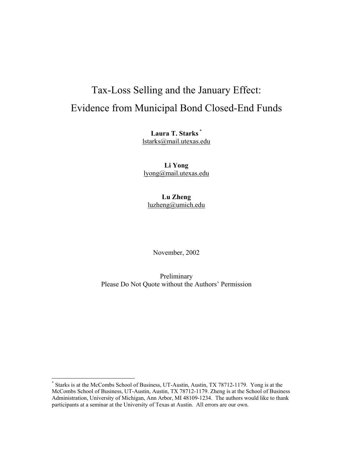# Tax-Loss Selling and the January Effect: Evidence from Municipal Bond Closed-End Funds

**Laura T. Starks** \* lstarks@mail.utexas.edu

**Li Yong**  lyong@mail.utexas.edu

**Lu Zheng** luzheng@umich.edu

November, 2002

Preliminary Please Do Not Quote without the Authors' Permission

 $\overline{a}$ 

<sup>\*</sup> Starks is at the McCombs School of Business, UT-Austin, Austin, TX 78712-1179. Yong is at the McCombs School of Business, UT-Austin, Austin, TX 78712-1179. Zheng is at the School of Business Administration, University of Michigan, Ann Arbor, MI 48109-1234. The authors would like to thank participants at a seminar at the University of Texas at Austin. All errors are our own.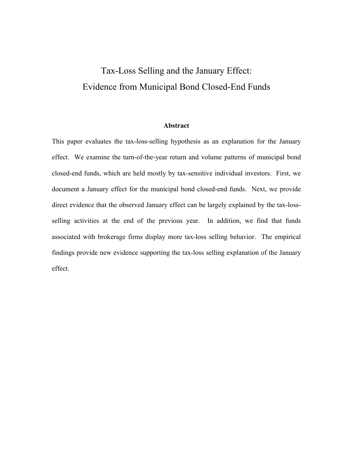## Tax-Loss Selling and the January Effect: Evidence from Municipal Bond Closed-End Funds

## **Abstract**

This paper evaluates the tax-loss-selling hypothesis as an explanation for the January effect. We examine the turn-of-the-year return and volume patterns of municipal bond closed-end funds, which are held mostly by tax-sensitive individual investors. First, we document a January effect for the municipal bond closed-end funds. Next, we provide direct evidence that the observed January effect can be largely explained by the tax-lossselling activities at the end of the previous year. In addition, we find that funds associated with brokerage firms display more tax-loss selling behavior. The empirical findings provide new evidence supporting the tax-loss selling explanation of the January effect.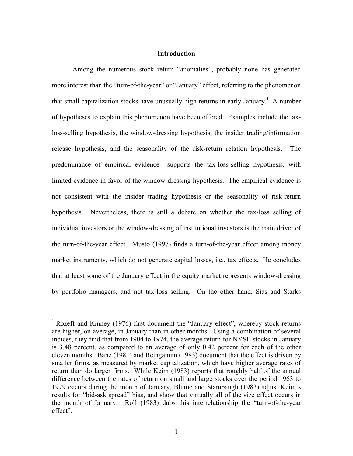## **Introduction**

Among the numerous stock return "anomalies", probably none has generated more interest than the "turn-of-the-year" or "January" effect, referring to the phenomenon that small capitalization stocks have unusually high returns in early January.<sup>1</sup> A number of hypotheses to explain this phenomenon have been offered. Examples include the taxloss-selling hypothesis, the window-dressing hypothesis, the insider trading/information release hypothesis, and the seasonality of the risk-return relation hypothesis. The predominance of empirical evidence supports the tax-loss-selling hypothesis, with limited evidence in favor of the window-dressing hypothesis. The empirical evidence is not consistent with the insider trading hypothesis or the seasonality of risk-return hypothesis. Nevertheless, there is still a debate on whether the tax-loss selling of individual investors or the window-dressing of institutional investors is the main driver of the turn-of-the-year effect. Musto (1997) finds a turn-of-the-year effect among money market instruments, which do not generate capital losses, i.e., tax effects. He concludes that at least some of the January effect in the equity market represents window-dressing by portfolio managers, and not tax-loss selling. On the other hand, Sias and Starks

 $\overline{a}$ 

<sup>&</sup>lt;sup>1</sup> Rozeff and Kinney (1976) first document the "January effect", whereby stock returns are higher, on average, in January than in other months. Using a combination of several indices, they find that from 1904 to 1974, the average return for NYSE stocks in January is 3.48 percent, as compared to an average of only 0.42 percent for each of the other eleven months. Banz (1981) and Reinganum (1983) document that the effect is driven by smaller firms, as measured by market capitalization, which have higher average rates of return than do larger firms. While Keim (1983) reports that roughly half of the annual difference between the rates of return on small and large stocks over the period 1963 to 1979 occurs during the month of January, Blume and Stambaugh (1983) adjust Keim's results for "bid-ask spread" bias, and show that virtually all of the size effect occurs in the month of January. Roll (1983) dubs this interrelationship the "turn-of-the-year effect".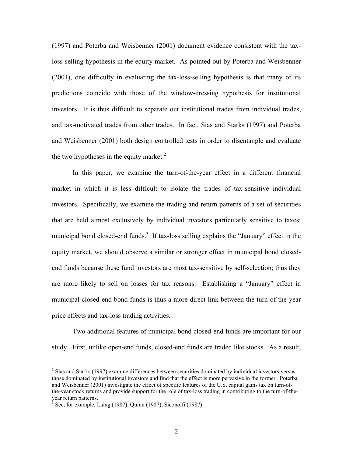(1997) and Poterba and Weisbenner (2001) document evidence consistent with the taxloss-selling hypothesis in the equity market. As pointed out by Poterba and Weisbenner (2001), one difficulty in evaluating the tax-loss-selling hypothesis is that many of its predictions coincide with those of the window-dressing hypothesis for institutional investors. It is thus difficult to separate out institutional trades from individual trades, and tax-motivated trades from other trades. In fact, Sias and Starks (1997) and Poterba and Weisbenner (2001) both design controlled tests in order to disentangle and evaluate the two hypotheses in the equity market. $2$ 

In this paper, we examine the turn-of-the-year effect in a different financial market in which it is less difficult to isolate the trades of tax-sensitive individual investors. Specifically, we examine the trading and return patterns of a set of securities that are held almost exclusively by individual investors particularly sensitive to taxes: municipal bond closed-end funds.<sup>3</sup> If tax-loss selling explains the "January" effect in the equity market, we should observe a similar or stronger effect in municipal bond closedend funds because these fund investors are most tax-sensitive by self-selection; thus they are more likely to sell on losses for tax reasons. Establishing a "January" effect in municipal closed-end bond funds is thus a more direct link between the turn-of-the-year price effects and tax-loss trading activities.

Two additional features of municipal bond closed-end funds are important for our study. First, unlike open-end funds, closed-end funds are traded like stocks. As a result,

 $\overline{a}$ 

 $2$  Sias and Starks (1997) examine differences between securities dominated by individual investors versus those dominated by institutional investors and find that the effect is more pervasive in the former. Poterba and Weisbenner (2001) investigate the effect of specific features of the U.S. capital gains tax on turn-ofthe-year stock returns and provide support for the role of tax-loss trading in contributing to the turn-of-theyear return patterns.

 $3$  See, for example, Laing (1987), Quinn (1987), Siconolfi (1987).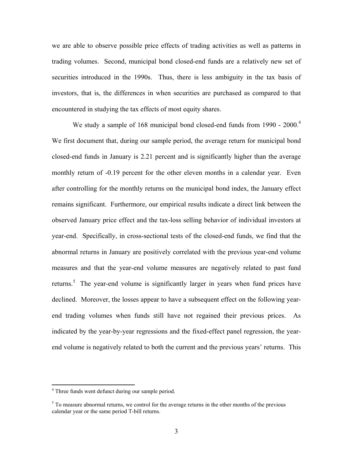we are able to observe possible price effects of trading activities as well as patterns in trading volumes. Second, municipal bond closed-end funds are a relatively new set of securities introduced in the 1990s. Thus, there is less ambiguity in the tax basis of investors, that is, the differences in when securities are purchased as compared to that encountered in studying the tax effects of most equity shares.

We study a sample of 168 municipal bond closed-end funds from 1990 - 2000.<sup>4</sup> We first document that, during our sample period, the average return for municipal bond closed-end funds in January is 2.21 percent and is significantly higher than the average monthly return of -0.19 percent for the other eleven months in a calendar year. Even after controlling for the monthly returns on the municipal bond index, the January effect remains significant. Furthermore, our empirical results indicate a direct link between the observed January price effect and the tax-loss selling behavior of individual investors at year-end. Specifically, in cross-sectional tests of the closed-end funds, we find that the abnormal returns in January are positively correlated with the previous year-end volume measures and that the year-end volume measures are negatively related to past fund returns.<sup>5</sup> The year-end volume is significantly larger in years when fund prices have declined. Moreover, the losses appear to have a subsequent effect on the following yearend trading volumes when funds still have not regained their previous prices. As indicated by the year-by-year regressions and the fixed-effect panel regression, the yearend volume is negatively related to both the current and the previous years' returns. This

 4 Three funds went defunct during our sample period.

 $<sup>5</sup>$  To measure abnormal returns, we control for the average returns in the other months of the previous</sup> calendar year or the same period T-bill returns.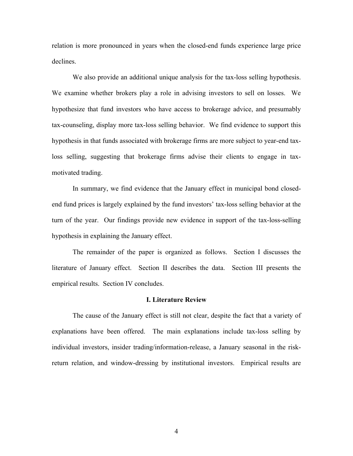relation is more pronounced in years when the closed-end funds experience large price declines.

We also provide an additional unique analysis for the tax-loss selling hypothesis. We examine whether brokers play a role in advising investors to sell on losses. We hypothesize that fund investors who have access to brokerage advice, and presumably tax-counseling, display more tax-loss selling behavior. We find evidence to support this hypothesis in that funds associated with brokerage firms are more subject to year-end taxloss selling, suggesting that brokerage firms advise their clients to engage in taxmotivated trading.

In summary, we find evidence that the January effect in municipal bond closedend fund prices is largely explained by the fund investors' tax-loss selling behavior at the turn of the year. Our findings provide new evidence in support of the tax-loss-selling hypothesis in explaining the January effect.

The remainder of the paper is organized as follows. Section I discusses the literature of January effect. Section II describes the data. Section III presents the empirical results. Section IV concludes.

## **I. Literature Review**

The cause of the January effect is still not clear, despite the fact that a variety of explanations have been offered. The main explanations include tax-loss selling by individual investors, insider trading/information-release, a January seasonal in the riskreturn relation, and window-dressing by institutional investors. Empirical results are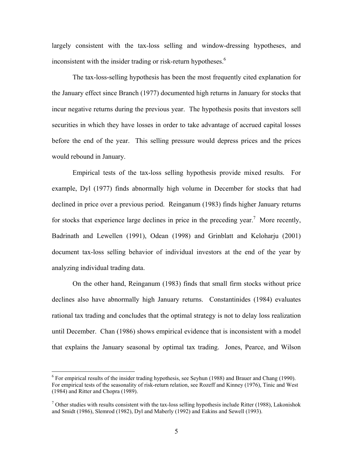largely consistent with the tax-loss selling and window-dressing hypotheses, and inconsistent with the insider trading or risk-return hypotheses.<sup>6</sup>

The tax-loss-selling hypothesis has been the most frequently cited explanation for the January effect since Branch (1977) documented high returns in January for stocks that incur negative returns during the previous year. The hypothesis posits that investors sell securities in which they have losses in order to take advantage of accrued capital losses before the end of the year. This selling pressure would depress prices and the prices would rebound in January.

Empirical tests of the tax-loss selling hypothesis provide mixed results. For example, Dyl (1977) finds abnormally high volume in December for stocks that had declined in price over a previous period. Reinganum (1983) finds higher January returns for stocks that experience large declines in price in the preceding year.<sup>7</sup> More recently, Badrinath and Lewellen (1991), Odean (1998) and Grinblatt and Keloharju (2001) document tax-loss selling behavior of individual investors at the end of the year by analyzing individual trading data.

On the other hand, Reinganum (1983) finds that small firm stocks without price declines also have abnormally high January returns. Constantinides (1984) evaluates rational tax trading and concludes that the optimal strategy is not to delay loss realization until December. Chan (1986) shows empirical evidence that is inconsistent with a model that explains the January seasonal by optimal tax trading. Jones, Pearce, and Wilson

1

 $6$  For empirical results of the insider trading hypothesis, see Seyhun (1988) and Brauer and Chang (1990). For empirical tests of the seasonality of risk-return relation, see Rozeff and Kinney (1976), Tinic and West (1984) and Ritter and Chopra (1989).

 $<sup>7</sup>$  Other studies with results consistent with the tax-loss selling hypothesis include Ritter (1988), Lakonishok</sup> and Smidt (1986), Slemrod (1982), Dyl and Maberly (1992) and Eakins and Sewell (1993).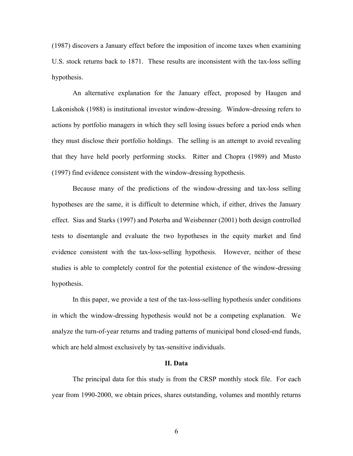(1987) discovers a January effect before the imposition of income taxes when examining U.S. stock returns back to 1871. These results are inconsistent with the tax-loss selling hypothesis.

An alternative explanation for the January effect, proposed by Haugen and Lakonishok (1988) is institutional investor window-dressing. Window-dressing refers to actions by portfolio managers in which they sell losing issues before a period ends when they must disclose their portfolio holdings. The selling is an attempt to avoid revealing that they have held poorly performing stocks. Ritter and Chopra (1989) and Musto (1997) find evidence consistent with the window-dressing hypothesis.

Because many of the predictions of the window-dressing and tax-loss selling hypotheses are the same, it is difficult to determine which, if either, drives the January effect. Sias and Starks (1997) and Poterba and Weisbenner (2001) both design controlled tests to disentangle and evaluate the two hypotheses in the equity market and find evidence consistent with the tax-loss-selling hypothesis. However, neither of these studies is able to completely control for the potential existence of the window-dressing hypothesis.

In this paper, we provide a test of the tax-loss-selling hypothesis under conditions in which the window-dressing hypothesis would not be a competing explanation. We analyze the turn-of-year returns and trading patterns of municipal bond closed-end funds, which are held almost exclusively by tax-sensitive individuals.

#### **II. Data**

 The principal data for this study is from the CRSP monthly stock file. For each year from 1990-2000, we obtain prices, shares outstanding, volumes and monthly returns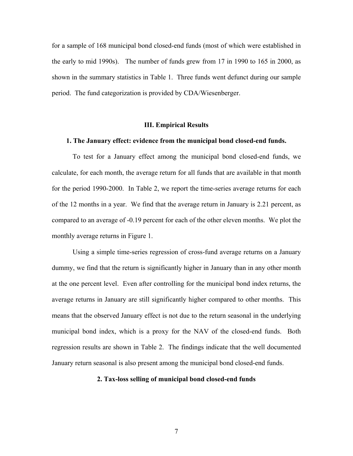for a sample of 168 municipal bond closed-end funds (most of which were established in the early to mid 1990s). The number of funds grew from 17 in 1990 to 165 in 2000, as shown in the summary statistics in Table 1. Three funds went defunct during our sample period. The fund categorization is provided by CDA/Wiesenberger.

## **III. Empirical Results**

## **1. The January effect: evidence from the municipal bond closed-end funds.**

 To test for a January effect among the municipal bond closed-end funds, we calculate, for each month, the average return for all funds that are available in that month for the period 1990-2000. In Table 2, we report the time-series average returns for each of the 12 months in a year. We find that the average return in January is 2.21 percent, as compared to an average of -0.19 percent for each of the other eleven months. We plot the monthly average returns in Figure 1.

Using a simple time-series regression of cross-fund average returns on a January dummy, we find that the return is significantly higher in January than in any other month at the one percent level. Even after controlling for the municipal bond index returns, the average returns in January are still significantly higher compared to other months. This means that the observed January effect is not due to the return seasonal in the underlying municipal bond index, which is a proxy for the NAV of the closed-end funds. Both regression results are shown in Table 2. The findings indicate that the well documented January return seasonal is also present among the municipal bond closed-end funds.

## **2. Tax-loss selling of municipal bond closed-end funds**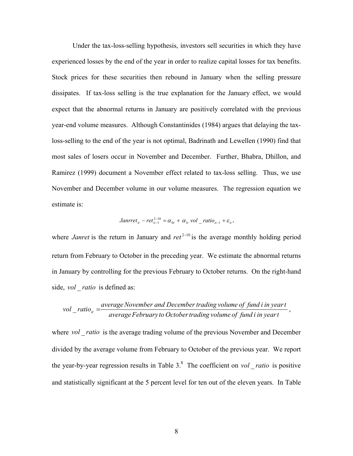Under the tax-loss-selling hypothesis, investors sell securities in which they have experienced losses by the end of the year in order to realize capital losses for tax benefits. Stock prices for these securities then rebound in January when the selling pressure dissipates. If tax-loss selling is the true explanation for the January effect, we would expect that the abnormal returns in January are positively correlated with the previous year-end volume measures. Although Constantinides (1984) argues that delaying the taxloss-selling to the end of the year is not optimal, Badrinath and Lewellen (1990) find that most sales of losers occur in November and December. Further, Bhabra, Dhillon, and Ramirez (1999) document a November effect related to tax-loss selling. Thus, we use November and December volume in our volume measures. The regression equation we estimate is:

*Janrret<sub>it</sub>* - *ret*<sup>2-10</sup><sub>*it-1*</sub> = 
$$
\alpha_{0t} + \alpha_{1t}
$$
 *vol* \_*ratio*<sub>*it-1*</sub> +  $\varepsilon_{it}$ ,

where *Janret* is the return in January and ret<sup>2-10</sup> is the average monthly holding period return from February to October in the preceding year. We estimate the abnormal returns in January by controlling for the previous February to October returns. On the right-hand side, *vol ratio* is defined as:

$$
vol\_ratio_{it} = \frac{average\,Number\,and\,December\,trading\,volume\,of\,fund\,i\,in\,year}{average\,February\,to\,October\,trading\,volume\,of\,fund\,i\,in\,year\,t},
$$

where *vol* ratio is the average trading volume of the previous November and December divided by the average volume from February to October of the previous year. We report the year-by-year regression results in Table 3.<sup>8</sup> The coefficient on *vol* \_ *ratio* is positive and statistically significant at the 5 percent level for ten out of the eleven years. In Table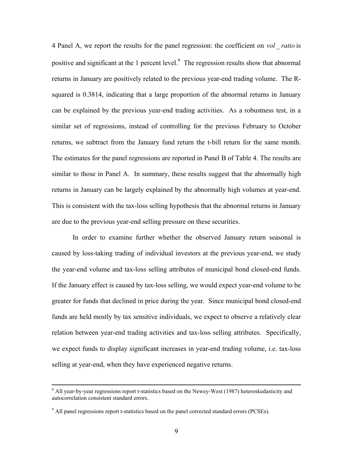4 Panel A, we report the results for the panel regression: the coefficient on *vol* \_ *ratio* is positive and significant at the 1 percent level. $9$  The regression results show that abnormal returns in January are positively related to the previous year-end trading volume. The Rsquared is 0.3814, indicating that a large proportion of the abnormal returns in January can be explained by the previous year-end trading activities. As a robustness test, in a similar set of regressions, instead of controlling for the previous February to October returns, we subtract from the January fund return the t-bill return for the same month. The estimates for the panel regressions are reported in Panel B of Table 4. The results are similar to those in Panel A. In summary, these results suggest that the abnormally high returns in January can be largely explained by the abnormally high volumes at year-end. This is consistent with the tax-loss selling hypothesis that the abnormal returns in January are due to the previous year-end selling pressure on these securities.

In order to examine further whether the observed January return seasonal is caused by loss-taking trading of individual investors at the previous year-end, we study the year-end volume and tax-loss selling attributes of municipal bond closed-end funds. If the January effect is caused by tax-loss selling, we would expect year-end volume to be greater for funds that declined in price during the year. Since municipal bond closed-end funds are held mostly by tax sensitive individuals, we expect to observe a relatively clear relation between year-end trading activities and tax-loss selling attributes. Specifically, we expect funds to display significant increases in year-end trading volume, i.e. tax-loss selling at year-end, when they have experienced negative returns.

 <sup>8</sup>  $8$  All year-by-year regressions report t-statistics based on the Newey-West (1987) heteroskedasticity and autocorrelation consistent standard errors.

 $9$  All panel regressions report t-statistics based on the panel corrected standard errors (PCSEs).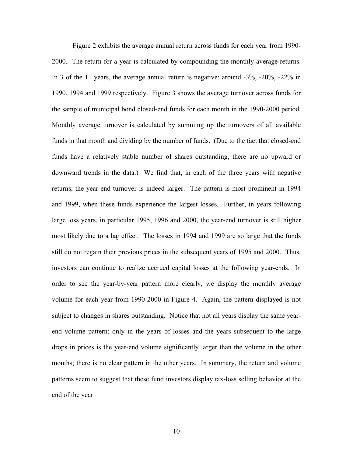Figure 2 exhibits the average annual return across funds for each year from 1990- 2000. The return for a year is calculated by compounding the monthly average returns. In 3 of the 11 years, the average annual return is negative: around -3%, -20%, -22% in 1990, 1994 and 1999 respectively. Figure 3 shows the average turnover across funds for the sample of municipal bond closed-end funds for each month in the 1990-2000 period. Monthly average turnover is calculated by summing up the turnovers of all available funds in that month and dividing by the number of funds. (Due to the fact that closed-end funds have a relatively stable number of shares outstanding, there are no upward or downward trends in the data.) We find that, in each of the three years with negative returns, the year-end turnover is indeed larger. The pattern is most prominent in 1994 and 1999, when these funds experience the largest losses. Further, in years following large loss years, in particular 1995, 1996 and 2000, the year-end turnover is still higher most likely due to a lag effect. The losses in 1994 and 1999 are so large that the funds still do not regain their previous prices in the subsequent years of 1995 and 2000. Thus, investors can continue to realize accrued capital losses at the following year-ends. In order to see the year-by-year pattern more clearly, we display the monthly average volume for each year from 1990-2000 in Figure 4. Again, the pattern displayed is not subject to changes in shares outstanding. Notice that not all years display the same yearend volume pattern: only in the years of losses and the years subsequent to the large drops in prices is the year-end volume significantly larger than the volume in the other months; there is no clear pattern in the other years. In summary, the return and volume patterns seem to suggest that these fund investors display tax-loss selling behavior at the end of the year.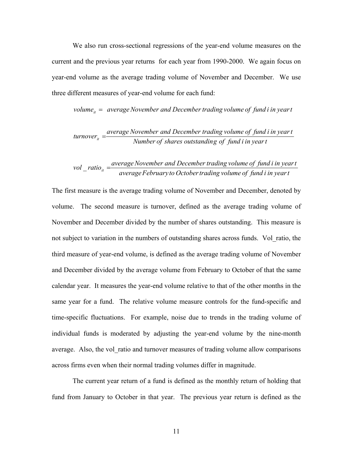We also run cross-sectional regressions of the year-end volume measures on the current and the previous year returns for each year from 1990-2000. We again focus on year-end volume as the average trading volume of November and December. We use three different measures of year-end volume for each fund:

$$
volume_{it} = average November and December trading volume of fund i in year i
$$

$$
turnover_{it} = \frac{average\,November\ and\ December\ trading\ volume\ of\ fund\ i\ in\ year\ t}{Number\ of\ shares\ outstanding\ of\ fund\ i\ in\ year\ t}
$$

$$
vol\_ratio_{it} = \frac{average\,Novenber\,and\,December\,trading\,volume\,of\,fund\,i\,in\,year\,t}{average\,February\,to\,October\,trading\,volume\,of\,fund\,i\,in\,year\,t}
$$

The first measure is the average trading volume of November and December, denoted by volume. The second measure is turnover, defined as the average trading volume of November and December divided by the number of shares outstanding. This measure is not subject to variation in the numbers of outstanding shares across funds. Vol\_ratio, the third measure of year-end volume, is defined as the average trading volume of November and December divided by the average volume from February to October of that the same calendar year. It measures the year-end volume relative to that of the other months in the same year for a fund. The relative volume measure controls for the fund-specific and time-specific fluctuations. For example, noise due to trends in the trading volume of individual funds is moderated by adjusting the year-end volume by the nine-month average. Also, the vol\_ratio and turnover measures of trading volume allow comparisons across firms even when their normal trading volumes differ in magnitude.

The current year return of a fund is defined as the monthly return of holding that fund from January to October in that year. The previous year return is defined as the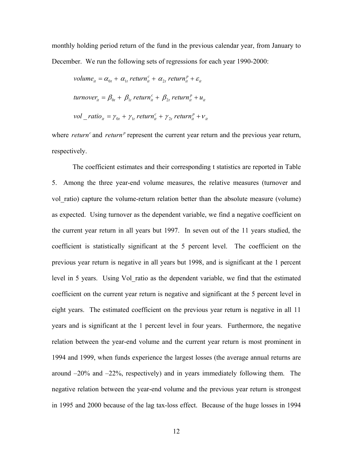monthly holding period return of the fund in the previous calendar year, from January to December. We run the following sets of regressions for each year 1990-2000:

$$
volume_{it} = \alpha_{0t} + \alpha_{1t} return_{it}^{c} + \alpha_{2t} return_{it}^{p} + \varepsilon_{it}
$$
  
\n
$$
turnover_{it} = \beta_{0t} + \beta_{1t} return_{it}^{c} + \beta_{2t} return_{it}^{p} + u_{it}
$$
  
\n
$$
vol\_ratio_{it} = \gamma_{0t} + \gamma_{1t} return_{it}^{c} + \gamma_{2t} return_{it}^{p} + v_{it}
$$

where *return*<sup> $c$ </sup> and *return*<sup> $p$ </sup> represent the current year return and the previous year return, respectively.

 The coefficient estimates and their corresponding t statistics are reported in Table 5. Among the three year-end volume measures, the relative measures (turnover and vol ratio) capture the volume-return relation better than the absolute measure (volume) as expected. Using turnover as the dependent variable, we find a negative coefficient on the current year return in all years but 1997. In seven out of the 11 years studied, the coefficient is statistically significant at the 5 percent level. The coefficient on the previous year return is negative in all years but 1998, and is significant at the 1 percent level in 5 years. Using Vol\_ratio as the dependent variable, we find that the estimated coefficient on the current year return is negative and significant at the 5 percent level in eight years. The estimated coefficient on the previous year return is negative in all 11 years and is significant at the 1 percent level in four years. Furthermore, the negative relation between the year-end volume and the current year return is most prominent in 1994 and 1999, when funds experience the largest losses (the average annual returns are around –20% and –22%, respectively) and in years immediately following them. The negative relation between the year-end volume and the previous year return is strongest in 1995 and 2000 because of the lag tax-loss effect. Because of the huge losses in 1994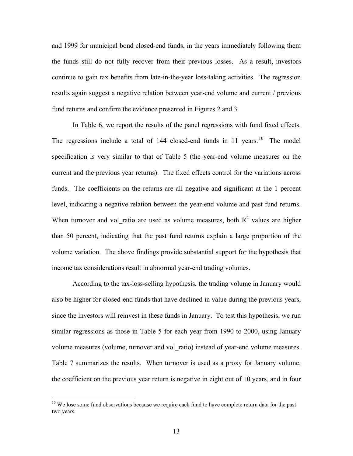and 1999 for municipal bond closed-end funds, in the years immediately following them the funds still do not fully recover from their previous losses. As a result, investors continue to gain tax benefits from late-in-the-year loss-taking activities. The regression results again suggest a negative relation between year-end volume and current / previous fund returns and confirm the evidence presented in Figures 2 and 3.

In Table 6, we report the results of the panel regressions with fund fixed effects. The regressions include a total of  $144$  closed-end funds in  $11$  years. <sup>10</sup> The model specification is very similar to that of Table 5 (the year-end volume measures on the current and the previous year returns). The fixed effects control for the variations across funds. The coefficients on the returns are all negative and significant at the 1 percent level, indicating a negative relation between the year-end volume and past fund returns. When turnover and vol\_ratio are used as volume measures, both  $R<sup>2</sup>$  values are higher than 50 percent, indicating that the past fund returns explain a large proportion of the volume variation. The above findings provide substantial support for the hypothesis that income tax considerations result in abnormal year-end trading volumes.

 According to the tax-loss-selling hypothesis, the trading volume in January would also be higher for closed-end funds that have declined in value during the previous years, since the investors will reinvest in these funds in January. To test this hypothesis, we run similar regressions as those in Table 5 for each year from 1990 to 2000, using January volume measures (volume, turnover and vol\_ratio) instead of year-end volume measures. Table 7 summarizes the results. When turnover is used as a proxy for January volume, the coefficient on the previous year return is negative in eight out of 10 years, and in four

 $\overline{a}$ 

<sup>&</sup>lt;sup>10</sup> We lose some fund observations because we require each fund to have complete return data for the past two years.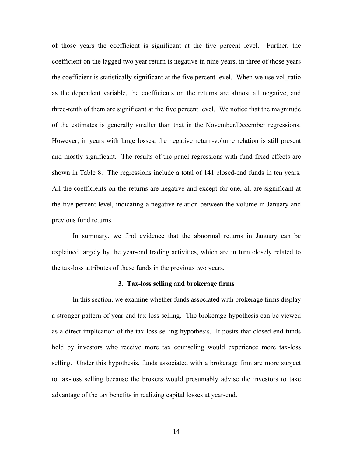of those years the coefficient is significant at the five percent level. Further, the coefficient on the lagged two year return is negative in nine years, in three of those years the coefficient is statistically significant at the five percent level. When we use vol\_ratio as the dependent variable, the coefficients on the returns are almost all negative, and three-tenth of them are significant at the five percent level. We notice that the magnitude of the estimates is generally smaller than that in the November/December regressions. However, in years with large losses, the negative return-volume relation is still present and mostly significant. The results of the panel regressions with fund fixed effects are shown in Table 8. The regressions include a total of 141 closed-end funds in ten years. All the coefficients on the returns are negative and except for one, all are significant at the five percent level, indicating a negative relation between the volume in January and previous fund returns.

 In summary, we find evidence that the abnormal returns in January can be explained largely by the year-end trading activities, which are in turn closely related to the tax-loss attributes of these funds in the previous two years.

## **3. Tax-loss selling and brokerage firms**

 In this section, we examine whether funds associated with brokerage firms display a stronger pattern of year-end tax-loss selling. The brokerage hypothesis can be viewed as a direct implication of the tax-loss-selling hypothesis. It posits that closed-end funds held by investors who receive more tax counseling would experience more tax-loss selling. Under this hypothesis, funds associated with a brokerage firm are more subject to tax-loss selling because the brokers would presumably advise the investors to take advantage of the tax benefits in realizing capital losses at year-end.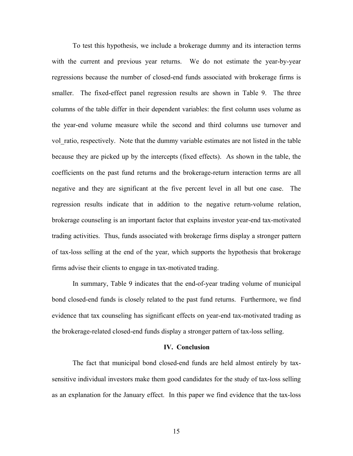To test this hypothesis, we include a brokerage dummy and its interaction terms with the current and previous year returns. We do not estimate the year-by-year regressions because the number of closed-end funds associated with brokerage firms is smaller. The fixed-effect panel regression results are shown in Table 9. The three columns of the table differ in their dependent variables: the first column uses volume as the year-end volume measure while the second and third columns use turnover and vol\_ratio, respectively. Note that the dummy variable estimates are not listed in the table because they are picked up by the intercepts (fixed effects). As shown in the table, the coefficients on the past fund returns and the brokerage-return interaction terms are all negative and they are significant at the five percent level in all but one case. The regression results indicate that in addition to the negative return-volume relation, brokerage counseling is an important factor that explains investor year-end tax-motivated trading activities. Thus, funds associated with brokerage firms display a stronger pattern of tax-loss selling at the end of the year, which supports the hypothesis that brokerage firms advise their clients to engage in tax-motivated trading.

In summary, Table 9 indicates that the end-of-year trading volume of municipal bond closed-end funds is closely related to the past fund returns. Furthermore, we find evidence that tax counseling has significant effects on year-end tax-motivated trading as the brokerage-related closed-end funds display a stronger pattern of tax-loss selling.

#### **IV. Conclusion**

 The fact that municipal bond closed-end funds are held almost entirely by taxsensitive individual investors make them good candidates for the study of tax-loss selling as an explanation for the January effect. In this paper we find evidence that the tax-loss

15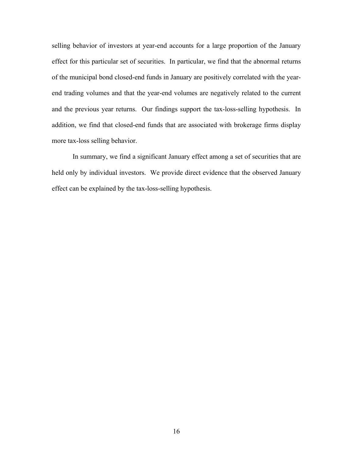selling behavior of investors at year-end accounts for a large proportion of the January effect for this particular set of securities. In particular, we find that the abnormal returns of the municipal bond closed-end funds in January are positively correlated with the yearend trading volumes and that the year-end volumes are negatively related to the current and the previous year returns. Our findings support the tax-loss-selling hypothesis. In addition, we find that closed-end funds that are associated with brokerage firms display more tax-loss selling behavior.

In summary, we find a significant January effect among a set of securities that are held only by individual investors. We provide direct evidence that the observed January effect can be explained by the tax-loss-selling hypothesis.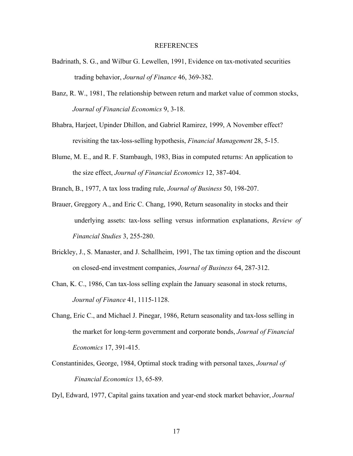#### REFERENCES

- Badrinath, S. G., and Wilbur G. Lewellen, 1991, Evidence on tax-motivated securities trading behavior, *Journal of Finance* 46, 369-382.
- Banz, R. W., 1981, The relationship between return and market value of common stocks, *Journal of Financial Economics* 9, 3-18.
- Bhabra, Harjeet, Upinder Dhillon, and Gabriel Ramirez, 1999, A November effect? revisiting the tax-loss-selling hypothesis, *Financial Management* 28, 5-15.
- Blume, M. E., and R. F. Stambaugh, 1983, Bias in computed returns: An application to the size effect, *Journal of Financial Economics* 12, 387-404.
- Branch, B., 1977, A tax loss trading rule, *Journal of Business* 50, 198-207.
- Brauer, Greggory A., and Eric C. Chang, 1990, Return seasonality in stocks and their underlying assets: tax-loss selling versus information explanations, *Review of Financial Studies* 3, 255-280.
- Brickley, J., S. Manaster, and J. Schallheim, 1991, The tax timing option and the discount on closed-end investment companies, *Journal of Business* 64, 287-312.
- Chan, K. C., 1986, Can tax-loss selling explain the January seasonal in stock returns, *Journal of Finance* 41, 1115-1128.
- Chang, Eric C., and Michael J. Pinegar, 1986, Return seasonality and tax-loss selling in the market for long-term government and corporate bonds, *Journal of Financial Economics* 17, 391-415.
- Constantinides, George, 1984, Optimal stock trading with personal taxes, *Journal of Financial Economics* 13, 65-89.

Dyl, Edward, 1977, Capital gains taxation and year-end stock market behavior, *Journal*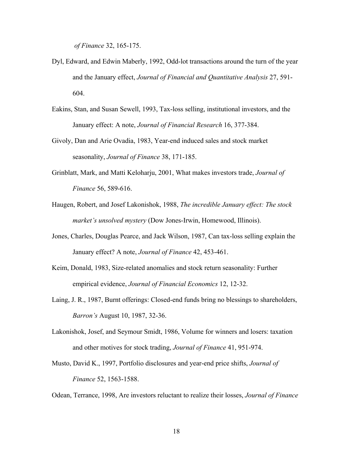*of Finance* 32, 165-175.

- Dyl, Edward, and Edwin Maberly, 1992, Odd-lot transactions around the turn of the year and the January effect, *Journal of Financial and Quantitative Analysis* 27, 591- 604.
- Eakins, Stan, and Susan Sewell, 1993, Tax-loss selling, institutional investors, and the January effect: A note, *Journal of Financial Research* 16, 377-384.
- Givoly, Dan and Arie Ovadia, 1983, Year-end induced sales and stock market seasonality, *Journal of Finance* 38, 171-185.
- Grinblatt, Mark, and Matti Keloharju, 2001, What makes investors trade, *Journal of Finance* 56, 589-616.
- Haugen, Robert, and Josef Lakonishok, 1988, *The incredible January effect: The stock market's unsolved mystery* (Dow Jones-Irwin, Homewood, Illinois).
- Jones, Charles, Douglas Pearce, and Jack Wilson, 1987, Can tax-loss selling explain the January effect? A note, *Journal of Finance* 42, 453-461.
- Keim, Donald, 1983, Size-related anomalies and stock return seasonality: Further empirical evidence, *Journal of Financial Economics* 12, 12-32.
- Laing, J. R., 1987, Burnt offerings: Closed-end funds bring no blessings to shareholders, *Barron's* August 10, 1987, 32-36.
- Lakonishok, Josef, and Seymour Smidt, 1986, Volume for winners and losers: taxation and other motives for stock trading, *Journal of Finance* 41, 951-974.
- Musto, David K., 1997, Portfolio disclosures and year-end price shifts, *Journal of Finance* 52, 1563-1588.

Odean, Terrance, 1998, Are investors reluctant to realize their losses, *Journal of Finance*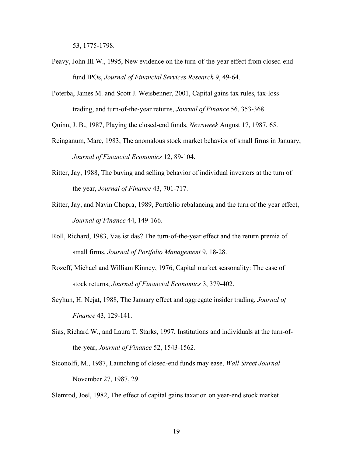53, 1775-1798.

- Peavy, John III W., 1995, New evidence on the turn-of-the-year effect from closed-end fund IPOs, *Journal of Financial Services Research* 9, 49-64.
- Poterba, James M. and Scott J. Weisbenner, 2001, Capital gains tax rules, tax-loss trading, and turn-of-the-year returns, *Journal of Finance* 56, 353-368.

Quinn, J. B., 1987, Playing the closed-end funds, *Newsweek* August 17, 1987, 65.

- Reinganum, Marc, 1983, The anomalous stock market behavior of small firms in January, *Journal of Financial Economics* 12, 89-104.
- Ritter, Jay, 1988, The buying and selling behavior of individual investors at the turn of the year, *Journal of Finance* 43, 701-717.
- Ritter, Jay, and Navin Chopra, 1989, Portfolio rebalancing and the turn of the year effect, *Journal of Finance* 44, 149-166.
- Roll, Richard, 1983, Vas ist das? The turn-of-the-year effect and the return premia of small firms, *Journal of Portfolio Management* 9, 18-28.
- Rozeff, Michael and William Kinney, 1976, Capital market seasonality: The case of stock returns, *Journal of Financial Economics* 3, 379-402.
- Seyhun, H. Nejat, 1988, The January effect and aggregate insider trading, *Journal of Finance* 43, 129-141.
- Sias, Richard W., and Laura T. Starks, 1997, Institutions and individuals at the turn-of the-year, *Journal of Finance* 52, 1543-1562.
- Siconolfi, M., 1987, Launching of closed-end funds may ease, *Wall Street Journal* November 27, 1987, 29.

Slemrod, Joel, 1982, The effect of capital gains taxation on year-end stock market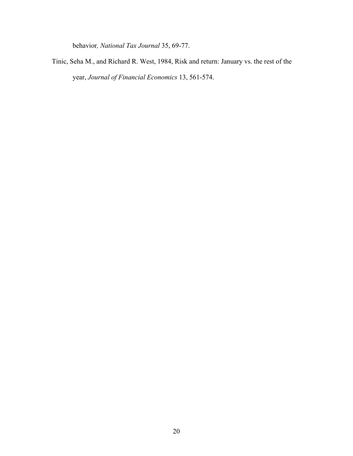behavior*, National Tax Journal* 35, 69-77.

Tinic, Seha M., and Richard R. West, 1984, Risk and return: January vs. the rest of the year, *Journal of Financial Economics* 13, 561-574.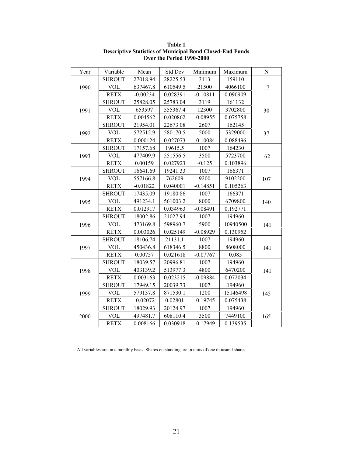| Year | Variable      | Mean       | Std Dev  | Minimum    | Maximum  | N   |
|------|---------------|------------|----------|------------|----------|-----|
|      | <b>SHROUT</b> | 27018.94   | 28225.53 | 3113       | 159110   |     |
| 1990 | <b>VOL</b>    | 637467.8   | 610549.5 | 21500      | 4066100  | 17  |
|      | <b>RETX</b>   | $-0.00234$ | 0.028391 | $-0.10811$ | 0.090909 |     |
|      | <b>SHROUT</b> | 25828.05   | 25783.04 | 3119       | 161132   |     |
| 1991 | <b>VOL</b>    | 653597     | 555367.4 | 12300      | 3702800  | 30  |
|      | <b>RETX</b>   | 0.004562   | 0.020862 | $-0.08955$ | 0.075758 |     |
|      | <b>SHROUT</b> | 21954.01   | 22673.08 | 2607       | 162145   |     |
| 1992 | <b>VOL</b>    | 572512.9   | 580170.5 | 5000       | 5329000  | 37  |
|      | <b>RETX</b>   | 0.000124   | 0.027073 | $-0.10084$ | 0.088496 |     |
|      | <b>SHROUT</b> | 17157.68   | 19615.5  | 1007       | 164230   |     |
| 1993 | <b>VOL</b>    | 477409.9   | 551556.5 | 3500       | 5723700  | 62  |
|      | <b>RETX</b>   | 0.00159    | 0.027923 | $-0.125$   | 0.103896 |     |
|      | <b>SHROUT</b> | 16641.69   | 19241.33 | 1007       | 166371   |     |
| 1994 | <b>VOL</b>    | 557166.8   | 762609   | 9200       | 9102200  | 107 |
|      | <b>RETX</b>   | $-0.01822$ | 0.040001 | $-0.14851$ | 0.105263 |     |
|      | <b>SHROUT</b> | 17435.09   | 19180.86 | 1007       | 166371   |     |
| 1995 | <b>VOL</b>    | 491234.1   | 561003.2 | 8000       | 6709800  | 140 |
|      | <b>RETX</b>   | 0.012917   | 0.034963 | $-0.08491$ | 0.192771 |     |
|      | <b>SHROUT</b> | 18002.86   | 21027.94 | 1007       | 194960   |     |
| 1996 | <b>VOL</b>    | 473169.8   | 598960.7 | 5900       | 10940500 | 141 |
|      | <b>RETX</b>   | 0.003026   | 0.025149 | $-0.08929$ | 0.130952 |     |
|      | <b>SHROUT</b> | 18106.74   | 21131.1  | 1007       | 194960   |     |
| 1997 | <b>VOL</b>    | 450436.8   | 618346.5 | 8800       | 8608000  | 141 |
|      | <b>RETX</b>   | 0.00757    | 0.021618 | $-0.07767$ | 0.085    |     |
|      | <b>SHROUT</b> | 18039.57   | 20996.81 | 1007       | 194960   |     |
| 1998 | <b>VOL</b>    | 403139.2   | 513977.3 | 4800       | 6470200  | 141 |
|      | <b>RETX</b>   | 0.003163   | 0.023215 | $-0.09884$ | 0.072034 |     |
|      | <b>SHROUT</b> | 17949.15   | 20039.73 | 1007       | 194960   |     |
| 1999 | <b>VOL</b>    | 579137.8   | 871530.1 | 1200       | 15146498 | 145 |
|      | <b>RETX</b>   | $-0.02072$ | 0.02801  | $-0.19745$ | 0.075438 |     |
|      | <b>SHROUT</b> | 18029.93   | 20124.97 | 1007       | 194960   |     |
| 2000 | <b>VOL</b>    | 497481.7   | 608110.4 | 3500       | 7449100  | 165 |
|      | <b>RETX</b>   | 0.008166   | 0.030918 | $-0.17949$ | 0.139535 |     |

**Table 1 Descriptive Statistics of Municipal Bond Closed-End Funds Over the Period 1990-2000**

a All variables are on a monthly basis. Shares outstanding are in units of one thousand shares.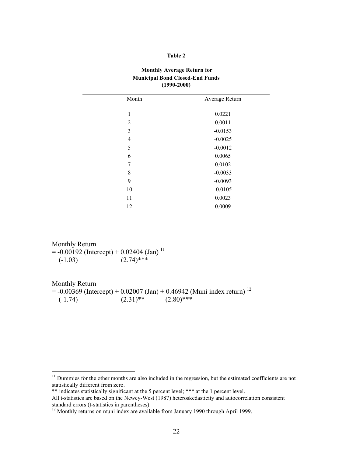#### **Table 2**

## **Monthly Average Return for Municipal Bond Closed-End Funds (1990-2000)**

| Month | Average Return |
|-------|----------------|
|       |                |
| 1     | 0.0221         |
| 2     | 0.0011         |
| 3     | $-0.0153$      |
| 4     | $-0.0025$      |
| 5     | $-0.0012$      |
| 6     | 0.0065         |
| 7     | 0.0102         |
| 8     | $-0.0033$      |
| 9     | $-0.0093$      |
| 10    | $-0.0105$      |
| 11    | 0.0023         |
| 12    | 0.0009         |
|       |                |

Monthly Return  $=$  -0.00192 (Intercept) + 0.02404 (Jan)<sup>11</sup>  $(-1.03)$   $(2.74)$ \*\*\*

Monthly Return  $= -0.00369$  (Intercept) + 0.02007 (Jan) + 0.46942 (Muni index return)<sup>12</sup>  $(-1.74)$   $(2.31)$ <sup>\*\*</sup>  $(2.80)$ <sup>\*\*\*</sup>

<sup>&</sup>lt;sup>11</sup> Dummies for the other months are also included in the regression, but the estimated coefficients are not statistically different from zero.

<sup>\*\*</sup> indicates statistically significant at the 5 percent level; \*\*\* at the 1 percent level.

All t-statistics are based on the Newey-West (1987) heteroskedasticity and autocorrelation consistent standard errors (t-statistics in parentheses).

 $12$  Monthly returns on muni index are available from January 1990 through April 1999.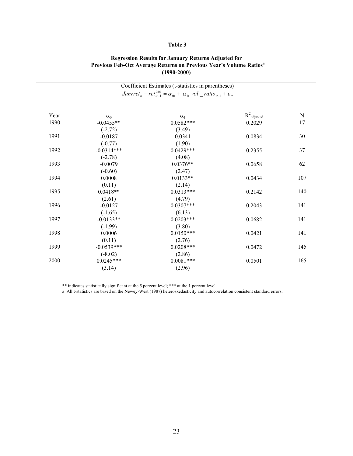## **Table 3**

|      |              | Coefficient Estimates (t-statistics in parentheses)                                                                              |                |             |  |  |  |  |
|------|--------------|----------------------------------------------------------------------------------------------------------------------------------|----------------|-------------|--|--|--|--|
|      |              | <i>Janrret<sub>it</sub></i> – ret <sub>it</sub> = $\alpha_{0t}$ + $\alpha_{1t}$ vol _ ratio <sub>it-1</sub> + $\varepsilon_{it}$ |                |             |  |  |  |  |
|      |              |                                                                                                                                  |                |             |  |  |  |  |
| Year | $\alpha_0$   | $\alpha_1$                                                                                                                       | $R^2$ adjusted | $\mathbf N$ |  |  |  |  |
| 1990 | $-0.0455**$  | $0.0582***$                                                                                                                      | 0.2029         | 17          |  |  |  |  |
|      | $(-2.72)$    | (3.49)                                                                                                                           |                |             |  |  |  |  |
| 1991 | $-0.0187$    | 0.0341                                                                                                                           | 0.0834         | 30          |  |  |  |  |
|      | $(-0.77)$    | (1.90)                                                                                                                           |                |             |  |  |  |  |
| 1992 | $-0.0314***$ | $0.0429***$                                                                                                                      | 0.2355         | 37          |  |  |  |  |
|      | $(-2.78)$    | (4.08)                                                                                                                           |                |             |  |  |  |  |
| 1993 | $-0.0079$    | $0.0376**$                                                                                                                       | 0.0658         | 62          |  |  |  |  |
|      | $(-0.60)$    | (2.47)                                                                                                                           |                |             |  |  |  |  |
| 1994 | 0.0008       | $0.0133**$                                                                                                                       | 0.0434         | 107         |  |  |  |  |
|      | (0.11)       | (2.14)                                                                                                                           |                |             |  |  |  |  |
| 1995 | $0.0418**$   | $0.0313***$                                                                                                                      | 0.2142         | 140         |  |  |  |  |
|      | (2.61)       | (4.79)                                                                                                                           |                |             |  |  |  |  |
| 1996 | $-0.0127$    | $0.0307***$                                                                                                                      | 0.2043         | 141         |  |  |  |  |
|      | $(-1.65)$    | (6.13)                                                                                                                           |                |             |  |  |  |  |
| 1997 | $-0.0133**$  | $0.0203***$                                                                                                                      | 0.0682         | 141         |  |  |  |  |
|      | $(-1.99)$    | (3.80)                                                                                                                           |                |             |  |  |  |  |
| 1998 | 0.0006       | $0.0150***$                                                                                                                      | 0.0421         | 141         |  |  |  |  |
|      | (0.11)       | (2.76)                                                                                                                           |                |             |  |  |  |  |
| 1999 | $-0.0539***$ | $0.0208***$                                                                                                                      | 0.0472         | 145         |  |  |  |  |
|      | $(-8.02)$    | (2.86)                                                                                                                           |                |             |  |  |  |  |
| 2000 | $0.0245***$  | $0.0081***$                                                                                                                      | 0.0501         | 165         |  |  |  |  |
|      | (3.14)       | (2.96)                                                                                                                           |                |             |  |  |  |  |

## **Regression Results for January Returns Adjusted for Previous Feb-Oct Average Returns on Previous Year's Volume Ratios<sup>a</sup> (1990-2000)**

\*\* indicates statistically significant at the 5 percent level; \*\*\* at the 1 percent level.

a All t-statistics are based on the Newey-West (1987) heteroskedasticity and autocorrelation consistent standard errors.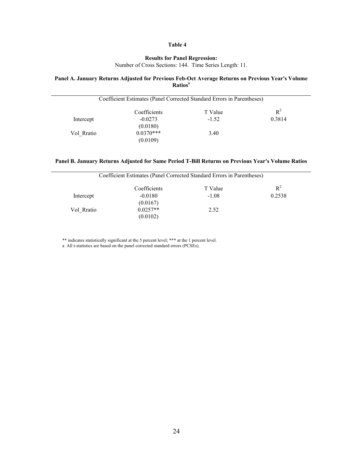## **Table 4**

## **Results for Panel Regression:**

Number of Cross Sections: 144. Time Series Length: 11.

#### **Panel A. January Returns Adjusted for Previous Feb-Oct Average Returns on Previous Year's Volume Ratiosa**

|            | Coefficient Estimates (Panel Corrected Standard Errors in Parentheses) |         |        |
|------------|------------------------------------------------------------------------|---------|--------|
|            | Coefficients                                                           | T Value | $R^2$  |
| Intercept  | $-0.0273$                                                              | $-1.52$ | 0.3814 |
|            | (0.0180)                                                               |         |        |
| Vol Rratio | $0.0370***$                                                            | 3.40    |        |
|            | (0.0109)                                                               |         |        |

## **Panel B. January Returns Adjusted for Same Period T-Bill Returns on Previous Year's Volume Ratios**

|            | Coefficient Estimates (Panel Corrected Standard Errors in Parentheses) |         |        |
|------------|------------------------------------------------------------------------|---------|--------|
|            | Coefficients                                                           | T Value | $R^2$  |
| Intercept  | $-0.0180$<br>(0.0167)                                                  | $-1.08$ | 0.2538 |
| Vol Rratio | $0.0257**$<br>(0.0102)                                                 | 2.52    |        |

\*\* indicates statistically significant at the 5 percent level; \*\*\* at the 1 percent level.

a All t-statistics are based on the panel corrected standard errors (PCSEs).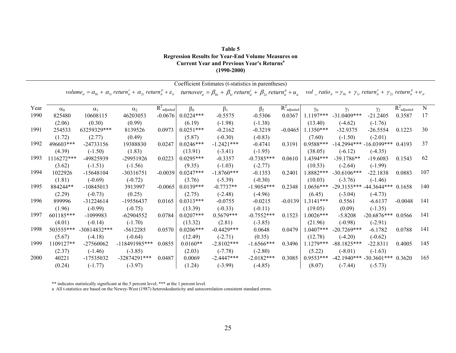| Table 5                                                      |
|--------------------------------------------------------------|
| <b>Regression Results for Year-End Volume Measures on</b>    |
| <b>Current Year and Previous Year's Returns</b> <sup>a</sup> |
| $(1990 - 2000)$                                              |

|      |            |                |                                                                                                                                                                                                                                                                                                                  |                |             | Coefficient Estimates (t-statistics in parentheses) |              |                           |             |                                                                                                                                                            |                |                           |     |
|------|------------|----------------|------------------------------------------------------------------------------------------------------------------------------------------------------------------------------------------------------------------------------------------------------------------------------------------------------------------|----------------|-------------|-----------------------------------------------------|--------------|---------------------------|-------------|------------------------------------------------------------------------------------------------------------------------------------------------------------|----------------|---------------------------|-----|
|      |            |                | volume <sub>it</sub> = $\alpha_{0t}$ + $\alpha_{1t}$ return <sup>c</sup> <sub>it</sub> + $\alpha_{2t}$ return <sup>p</sup> <sub>it</sub> + $\varepsilon_{it}$ turnover <sub>it</sub> = $\beta_{0t}$ + $\beta_{1t}$ return <sup>c</sup> <sub>it</sub> + $\beta_{2t}$ return <sup>p</sup> <sub>it</sub> + $u_{it}$ |                |             |                                                     |              |                           |             | vol _ ratio <sub>it</sub> = $\gamma_{0t}$ + $\gamma_{1t}$ return <sup>c</sup> <sub>it</sub> + $\gamma_{2t}$ return <sup>p</sup> <sub>it</sub> + $\nu_{it}$ |                |                           |     |
| Year | $\alpha_0$ | $\alpha_1$     | $\alpha_2$                                                                                                                                                                                                                                                                                                       | $R^2$ adjusted | $\beta_0$   | $\beta_1$                                           | $\beta_2$    | $R^2$ <sub>adjusted</sub> | $\gamma_0$  | $\gamma_1$                                                                                                                                                 | $\gamma_2$     | $R^2$ <sub>adjusted</sub> | N   |
| 1990 | 825480     | 10608115       | 46203053                                                                                                                                                                                                                                                                                                         | $-0.0676$      | $0.0224***$ | $-0.5575$                                           | $-0.5306$    | 0.0367                    | $1.1197***$ | $-31.0409***$                                                                                                                                              | $-21.2405$     | 0.3587                    | 17  |
|      | (2.06)     | (0.30)         | (0.99)                                                                                                                                                                                                                                                                                                           |                | (6.19)      | $(-1.98)$                                           | $(-1.38)$    |                           | (13.40)     | $(-4.62)$                                                                                                                                                  | $(-1.76)$      |                           |     |
| 1991 | 254533     | 63259329***    | 8139526                                                                                                                                                                                                                                                                                                          | 0.0973         | $0.0251***$ | $-0.2162$                                           | $-0.3219$    | $-0.0465$                 | 1.1350***   | $-32.9375$                                                                                                                                                 | $-26.5554$     | 0.1223                    | 30  |
|      | (1.72)     | (2.77)         | (0.49)                                                                                                                                                                                                                                                                                                           |                | (5.87)      | $(-0.30)$                                           | $(-0.83)$    |                           | (7.60)      | $(-1.50)$                                                                                                                                                  | $(-2.01)$      |                           |     |
| 1992 | 496603***  | $-24733156$    | 19388830                                                                                                                                                                                                                                                                                                         | 0.0247         | $0.0246***$ | $-1.2421***$                                        | $-0.4741$    | 0.3191                    | $0.9588***$ | $-14.2994***$                                                                                                                                              | $-16.0399$ *** | 0.4193                    | 37  |
|      | (4.39)     | $(-1.50)$      | (1.83)                                                                                                                                                                                                                                                                                                           |                | (13.91)     | $(-3.41)$                                           | $(-1.95)$    |                           | (38.05)     | $(-6.12)$                                                                                                                                                  | $(-4.35)$      |                           |     |
| 1993 | 1116272*** | -49825939      | -29951926                                                                                                                                                                                                                                                                                                        | 0.0223         | $0.0295***$ | $-0.3357$                                           | $-0.7385***$ | 0.0610                    | 1.4394***   | $-39.1786**$                                                                                                                                               | $-19.6083$     | 0.1543                    | 62  |
|      | (3.62)     | $(-1.51)$      | $(-1.56)$                                                                                                                                                                                                                                                                                                        |                | (9.35)      | $(-1.03)$                                           | $(-2.77)$    |                           | (10.53)     | $(-2.64)$                                                                                                                                                  | $(-1.99)$      |                           |     |
| 1994 | 1022926    | $-15648104$    | $-30316751$                                                                                                                                                                                                                                                                                                      | $-0.0039$      | $0.0247***$ | $-1.8760***$                                        | $-0.1353$    | 0.2401                    | .8882***    | $-30.6106***$                                                                                                                                              | $-22.1838$     | 0.0883                    | 107 |
|      | (1.81)     | $(-0.69)$      | $(-0.72)$                                                                                                                                                                                                                                                                                                        |                | (3.76)      | $(-5.39)$                                           | $(-0.30)$    |                           | (10.03)     | $(-3.76)$                                                                                                                                                  | $(-1.46)$      |                           |     |
| 1995 | 884244**   | $-10845013$    | 3913997                                                                                                                                                                                                                                                                                                          | $-0.0065$      | $0.0139***$ | $-0.7737**$                                         | $-1.9054***$ | 0.2348                    | $.0656***$  | $-29.3155***$                                                                                                                                              | $-44.3644***$  | 0.1658                    | 140 |
|      | (2.29)     | $(-0.73)$      | (0.25)                                                                                                                                                                                                                                                                                                           |                | (2.75)      | $(-2.48)$                                           | $(-4.96)$    |                           | (6.45)      | $(-3.04)$                                                                                                                                                  | $(-4.73)$      |                           |     |
| 1996 | 899996     | $-31224614$    | -19556437                                                                                                                                                                                                                                                                                                        | 0.0165         | $0.0313***$ | $-0.0755$                                           | $-0.0215$    | $-0.0139$                 | $1.3141***$ | 0.5561                                                                                                                                                     | $-6.6137$      | $-0.0048$                 | 141 |
|      | (1.96)     | $(-0.99)$      | $(-0.75)$                                                                                                                                                                                                                                                                                                        |                | (13.39)     | $(-0.33)$                                           | $(-0.11)$    |                           | (19.05)     | (0.09)                                                                                                                                                     | $(-1.35)$      |                           |     |
| 1997 | 601185***  | -1099983       | $-62904552$                                                                                                                                                                                                                                                                                                      | 0.0784         | $0.0207***$ | $0.5679***$                                         | $-0.7552***$ | 0.1523                    | $1.0026***$ | $-5.8208$                                                                                                                                                  | $-20.6876***$  | 0.0566                    | 141 |
|      | (4.01)     | $(-0.14)$      | $(-1.70)$                                                                                                                                                                                                                                                                                                        |                | (13.32)     | (2.81)                                              | $(-3.85)$    |                           | (21.96)     | $(-0.98)$                                                                                                                                                  | $(-2.91)$      |                           |     |
| 1998 | 503555***  | $-30814832***$ | $-5612285$                                                                                                                                                                                                                                                                                                       | 0.0570         | $0.0206***$ | $-0.4429***$                                        | 0.0648       | 0.0479                    | $.0407***$  | $-20.7269***$                                                                                                                                              | $-6.1782$      | 0.0788                    | 141 |
|      | (5.67)     | $(-4.18)$      | $(-0.64)$                                                                                                                                                                                                                                                                                                        |                | (12.49)     | $(-2.71)$                                           | (0.35)       |                           | (12.78)     | $(-4.20)$                                                                                                                                                  | $(-0.62)$      |                           |     |
| 1999 | 1109127**  | -27560062      | $-118491985***$                                                                                                                                                                                                                                                                                                  | 0.0855         | $0.0160**$  | $-2.8102***$                                        | $-1.6566***$ | 0.3496                    | 1.1279***   | $-88.1825***$                                                                                                                                              | $-22.8311$     | 0.4005                    | 145 |
|      | (2.37)     | $(-1.46)$      | $(-3.85)$                                                                                                                                                                                                                                                                                                        |                | (2.03)      | $(-7.78)$                                           | $(-2.80)$    |                           | (5.22)      | $(-8.01)$                                                                                                                                                  | $(-1.63)$      |                           |     |
| 2000 | 40221      | -17535032      | $-32874291***$                                                                                                                                                                                                                                                                                                   | 0.0487         | 0.0069      | $-2.4447***$                                        | $-2.0182***$ | 0.3085                    | $0.9553***$ | $-42.1940*** -30.3601***$                                                                                                                                  |                | 0.3620                    | 165 |
|      | (0.24)     | $(-1.77)$      | $(-3.97)$                                                                                                                                                                                                                                                                                                        |                | (1.24)      | $(-3.99)$                                           | $(-4.85)$    |                           | (8.07)      | $(-7.44)$                                                                                                                                                  | $(-5.73)$      |                           |     |

\*\* indicates statistically significant at the 5 percent level; \*\*\* at the 1 percent level.

a All t-statistics are based on the Newey-West (1987) heteroskedasticity and autocorrelation consistent standard errors.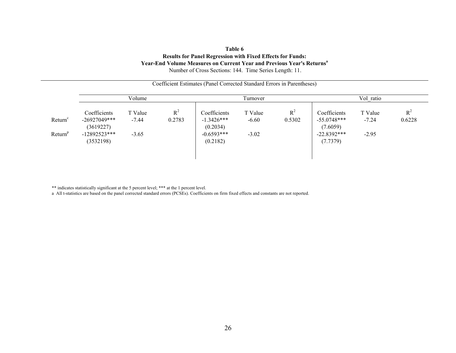#### **Table 6 Results for Panel Regression with Fixed Effects for Funds: Year-End Volume Measures on Current Year and Previous Year's Returns<sup>a</sup>** Number of Cross Sections: 144. Time Series Length: 11.

|                                            |                                                                            |                               | Coefficient Estimates (Panel Corrected Standard Errors in Parentheses) |                                                                      |                               |                 |                                                                        |                               |                 |  |  |
|--------------------------------------------|----------------------------------------------------------------------------|-------------------------------|------------------------------------------------------------------------|----------------------------------------------------------------------|-------------------------------|-----------------|------------------------------------------------------------------------|-------------------------------|-----------------|--|--|
|                                            |                                                                            | Volume                        |                                                                        |                                                                      | Turnover                      |                 |                                                                        | Vol ratio                     |                 |  |  |
| Return <sup>c</sup><br>Return <sup>p</sup> | Coefficients<br>$-26927049***$<br>(3619227)<br>$-12892523***$<br>(3532198) | T Value<br>$-7.44$<br>$-3.65$ | $R^2$<br>0.2783                                                        | Coefficients<br>$-1.3426***$<br>(0.2034)<br>$-0.6593***$<br>(0.2182) | T Value<br>$-6.60$<br>$-3.02$ | $R^2$<br>0.5302 | Coefficients<br>$-55.0748***$<br>(7.6059)<br>$-22.8392***$<br>(7.7379) | T Value<br>$-7.24$<br>$-2.95$ | $R^2$<br>0.6228 |  |  |

\*\* indicates statistically significant at the 5 percent level; \*\*\* at the 1 percent level.

a All t-statistics are based on the panel corrected standard errors (PCSEs). Coefficients on firm fixed effects and constants are not reported.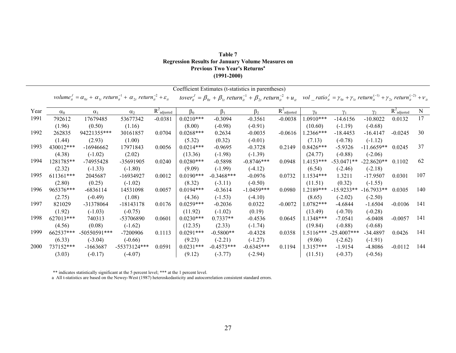| Table 7                                                  |
|----------------------------------------------------------|
| <b>Regression Results for January Volume Measures on</b> |
| <b>Previous Two Year's Returns</b> <sup>4</sup>          |
| $(1991 - 2000)$                                          |

|      |            |                |                                                                                                                                     |                           |             |              | Coefficient Estimates (t-statistics in parentheses)                                                                                                                                                                                    |                           |             |               |              |                           |           |
|------|------------|----------------|-------------------------------------------------------------------------------------------------------------------------------------|---------------------------|-------------|--------------|----------------------------------------------------------------------------------------------------------------------------------------------------------------------------------------------------------------------------------------|---------------------------|-------------|---------------|--------------|---------------------------|-----------|
|      |            |                | volume <sub>it</sub> = $\alpha_{0t}$ + $\alpha_{1t}$ return <sup>-1</sup> + $\alpha_{2t}$ return <sup>-2</sup> + $\varepsilon_{it}$ |                           |             |              | tover $r_{it}^J = \beta_{0t} + \beta_{1t}$ return $\frac{1}{u} + \beta_{2t}$ return $\frac{1}{u} + u_{it}$ vol _ ratio $\frac{J}{u} = \gamma_{0t} + \gamma_{1t}$ return $\frac{J}{u} + \gamma_{2t}$ return $\frac{J}{u} + \gamma_{it}$ |                           |             |               |              |                           |           |
| Year | $\alpha_0$ | $\alpha_1$     | $\alpha_2$                                                                                                                          | $R^2$ <sub>adjusted</sub> | $\beta_0$   | $\beta_1$    | $\beta_2$                                                                                                                                                                                                                              | $R^2$ <sub>adjusted</sub> | $\gamma_0$  | $\gamma_1$    | $\gamma_2$   | $R^2$ <sub>adjusted</sub> | ${\bf N}$ |
| 1991 | 792612     | 17679485       | 53677342                                                                                                                            | $-0.0381$                 | $0.0210***$ | $-0.3094$    | $-0.3561$                                                                                                                                                                                                                              | $-0.0038$                 | $1.0910***$ | $-14.6156$    | $-10.8022$   | 0.0132                    | 17        |
|      | (1.96)     | (0.50)         | (1.16)                                                                                                                              |                           | (8.00)      | $(-0.98)$    | $(-0.91)$                                                                                                                                                                                                                              |                           | (10.60)     | $(-1.19)$     | $(-0.68)$    |                           |           |
| 1992 | 262835     | 94221355***    | 30161857                                                                                                                            | 0.0704                    | $0.0268***$ | 0.2634       | $-0.0035$                                                                                                                                                                                                                              | $-0.0616$                 | 1.2366***   | $-18.4453$    | $-16.4147$   | $-0.0245$                 | 30        |
|      | (1.44)     | (2.93)         | (1.00)                                                                                                                              |                           | (5.32)      | (0.32)       | $(-0.01)$                                                                                                                                                                                                                              |                           | (7.13)      | $(-0.78)$     | $(-1.12)$    |                           |           |
| 1993 | 430012***  | $-16946662$    | 17971843                                                                                                                            | 0.0056                    | $0.0214***$ | $-0.9695$    | $-0.3728$                                                                                                                                                                                                                              | 0.2149                    | $0.8426***$ | $-5.9326$     | $-11.6659**$ | 0.0245                    | 37        |
|      | (4.38)     | $(-1.02)$      | (2.02)                                                                                                                              |                           | (13.36)     | $(-1.98)$    | $(-1.39)$                                                                                                                                                                                                                              |                           | (24.77)     | $(-0.88)$     | $(-2.06)$    |                           |           |
| 1994 | 1281785**  | -74955428      | -35691905                                                                                                                           | 0.0240                    | $0.0280***$ | $-0.5898$    | $-0.8746***$                                                                                                                                                                                                                           | 0.0948                    | 1.4153***   | $-53.0471**$  | $-22.8620**$ | 0.1102                    | 62        |
|      | (2.32)     | $(-1.33)$      | $(-1.80)$                                                                                                                           |                           | (9.09)      | $(-1.99)$    | $(-4.12)$                                                                                                                                                                                                                              |                           | (6.54)      | $(-2.46)$     | $(-2.18)$    |                           |           |
| 1995 | 611361***  | 2045687        | -16934927                                                                                                                           | 0.0012                    | $0.0190***$ | $-0.3468***$ | $-0.0976$                                                                                                                                                                                                                              | 0.0732                    | $1.1534***$ | 1.3211        | $-17.9507$   | 0.0301                    | 107       |
|      | (2.80)     | (0.25)         | $(-1.02)$                                                                                                                           |                           | (8.32)      | $(-3.11)$    | $(-0.50)$                                                                                                                                                                                                                              |                           | (11.51)     | (0.32)        | $(-1.55)$    |                           |           |
| 1996 | 965376***  | $-6836114$     | 14531098                                                                                                                            | 0.0057                    | $0.0194***$ | $-0.3614$    | $-1.0459***$                                                                                                                                                                                                                           | 0.0980                    | 1.2189***   | $-15.9233**$  | $-16.7933**$ | 0.0305                    | 140       |
|      | (2.75)     | $(-0.49)$      | (1.08)                                                                                                                              |                           | (4.36)      | $(-1.53)$    | $(-4.10)$                                                                                                                                                                                                                              |                           | (8.65)      | $(-2.02)$     | $(-2.50)$    |                           |           |
| 1997 | 821029     | -31378064      | $-18143178$                                                                                                                         | 0.0176                    | $0.0259***$ | $-0.2036$    | 0.0322                                                                                                                                                                                                                                 | $-0.0072$                 | $1.0782***$ | $-4.6844$     | $-1.6504$    | $-0.0106$                 | 141       |
|      | (1.92)     | $(-1.03)$      | $(-0.75)$                                                                                                                           |                           | (11.92)     | $(-1.02)$    | (0.19)                                                                                                                                                                                                                                 |                           | (13.49)     | $(-0.70)$     | $(-0.28)$    |                           |           |
| 1998 | 627013***  | 740313         | -53706890                                                                                                                           | 0.0601                    | $0.0230***$ | $0.7337**$   | $-0.4536$                                                                                                                                                                                                                              | 0.0645                    | 1.1348***   | $-7.0541$     | $-6.0408$    | $-0.0057$                 | 141       |
|      | (4.56)     | (0.08)         | $(-1.62)$                                                                                                                           |                           | (12.35)     | (2.33)       | $(-1.74)$                                                                                                                                                                                                                              |                           | (19.84)     | $(-0.88)$     | $(-0.68)$    |                           |           |
| 1999 | 662537***  | $-50550591***$ | -7200906                                                                                                                            | 0.1113                    | $0.0291***$ | $-0.5800**$  | $-0.4328$                                                                                                                                                                                                                              | 0.0358                    | $1.5116***$ | $-25.4007***$ | -34.4897     | 0.0426                    | 141       |
|      | (6.33)     | $(-3.04)$      | $(-0.66)$                                                                                                                           |                           | (9.23)      | $(-2.21)$    | $(-1.27)$                                                                                                                                                                                                                              |                           | (9.06)      | $(-2.62)$     | $(-1.91)$    |                           |           |
| 2000 | 737152***  | $-1663687$     | $-55373124***$                                                                                                                      | 0.0591                    | $0.0231***$ | $-0.4573***$ | $-0.6345***$                                                                                                                                                                                                                           | 0.1194                    | 1.3157***   | $-1.9154$     | $-4.8086$    | $-0.0112$                 | 144       |
|      | (3.03)     | $(-0.17)$      | $(-4.07)$                                                                                                                           |                           | (9.12)      | $(-3.77)$    | $(-2.94)$                                                                                                                                                                                                                              |                           | (11.51)     | $(-0.37)$     | $(-0.56)$    |                           |           |

\*\* indicates statistically significant at the 5 percent level; \*\*\* at the 1 percent level.

a All t-statistics are based on the Newey-West (1987) heteroskedasticity and autocorrelation consistent standard errors.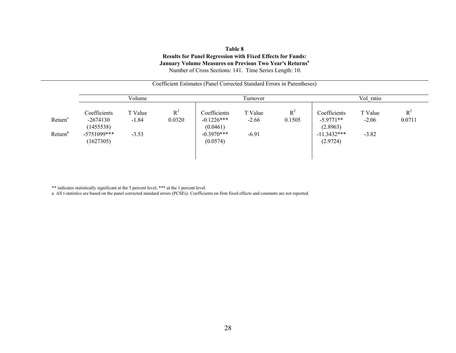#### **Table 8 Results for Panel Regression with Fixed Effects for Funds: January Volume Measures on Previous Two Year's Returnsa** Number of Cross Sections: 141. Time Series Length: 10.

|                                            |                                                                       |                               |                 | Coefficient Estimates (Panel Corrected Standard Errors in Parentheses) |                               |                 |                                                                      |                               |                 |
|--------------------------------------------|-----------------------------------------------------------------------|-------------------------------|-----------------|------------------------------------------------------------------------|-------------------------------|-----------------|----------------------------------------------------------------------|-------------------------------|-----------------|
|                                            |                                                                       | Volume                        |                 |                                                                        | Turnover                      | Vol ratio       |                                                                      |                               |                 |
| Return <sup>c</sup><br>Return <sup>p</sup> | Coefficients<br>$-2674130$<br>(1455538)<br>$-5751099***$<br>(1627305) | T Value<br>$-1.84$<br>$-3.53$ | $R^2$<br>0.0320 | Coefficients<br>$-0.1226***$<br>(0.0461)<br>$-0.3970***$<br>(0.0574)   | T Value<br>$-2.66$<br>$-6.91$ | $R^2$<br>0.1505 | Coefficients<br>$-5.9771**$<br>(2.8963)<br>$-11.3432***$<br>(2.9724) | T Value<br>$-2.06$<br>$-3.82$ | $R^2$<br>0.0711 |
|                                            |                                                                       |                               |                 |                                                                        |                               |                 |                                                                      |                               |                 |

\*\* indicates statistically significant at the 5 percent level; \*\*\* at the 1 percent level.

a All t-statistics are based on the panel corrected standard errors (PCSEs). Coefficients on firm fixed effects and constants are not reported.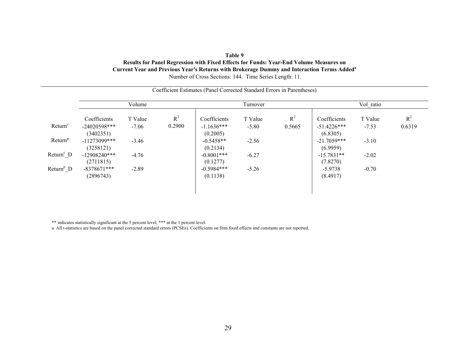## **Table 9Results for Panel Regression with Fixed Effects for Funds: Year-End Volume Measures on Current Year and Previous Year's Returns with Brokerage Dummy and Interaction Terms Addeda** Number of Cross Sections: 144. Time Series Length: 11.

|                       |                                | Volume             |                 |                              | Turnover           |                 |                               | Vol_ratio          |                 |  |
|-----------------------|--------------------------------|--------------------|-----------------|------------------------------|--------------------|-----------------|-------------------------------|--------------------|-----------------|--|
| Return <sup>c</sup>   | Coefficients<br>$-24020598***$ | T Value<br>$-7.06$ | $R^2$<br>0.2900 | Coefficients<br>$-1.1636***$ | T Value<br>$-5.80$ | $R^2$<br>0.5665 | Coefficients<br>$-51.4226***$ | T Value<br>$-7.53$ | $R^2$<br>0.6319 |  |
|                       | (3402351)                      |                    |                 | (0.2005)                     |                    |                 | (6.8305)                      |                    |                 |  |
| Return <sup>p</sup>   | $-11273099$ ***<br>(3258121)   | $-3.46$            |                 | $-0.5458**$<br>(0.2134)      | $-2.56$            |                 | $-21.7059***$<br>(6.9959)     | $-3.10$            |                 |  |
| Return <sup>c</sup> D | $-12908240***$<br>(2711815)    | $-4.76$            |                 | $-0.8001$ ***<br>(0.1277)    | $-6.27$            |                 | $-15.7831**$<br>(7.8270)      | $-2.02$            |                 |  |
| Return <sup>p</sup> D | $-8378671***$<br>(2896743)     | $-2.89$            |                 | $-0.5984***$<br>(0.1138)     | $-5.26$            |                 | $-5.9738$<br>(8.4917)         | $-0.70$            |                 |  |

Coefficient Estimates (Panel Corrected Standard Errors in Parentheses)

\*\* indicates statistically significant at the 5 percent level; \*\*\* at the 1 percent level.

a All t-statistics are based on the panel corrected standard errors (PCSEs). Coefficients on firm fixed effects and constants are not reported.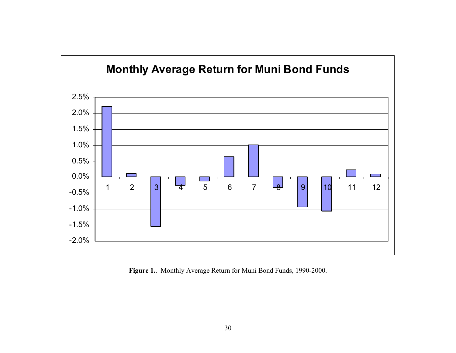

**Figure 1.**. Monthly Average Return for Muni Bond Funds, 1990-2000.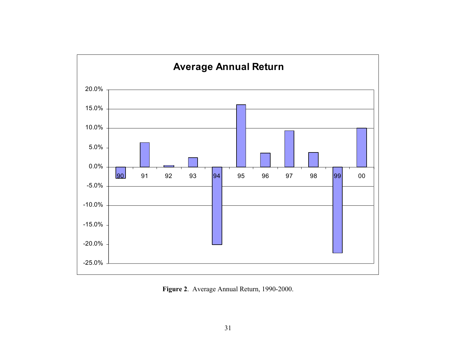

**Figure 2**. Average Annual Return, 1990-2000.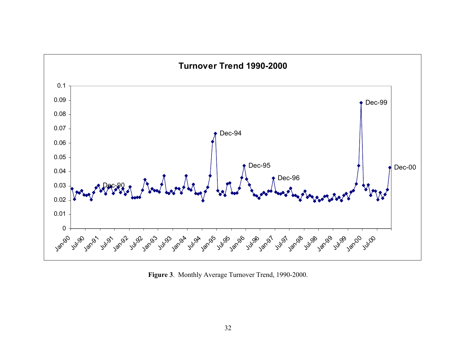

**Figure 3**. Monthly Average Turnover Trend, 1990-2000.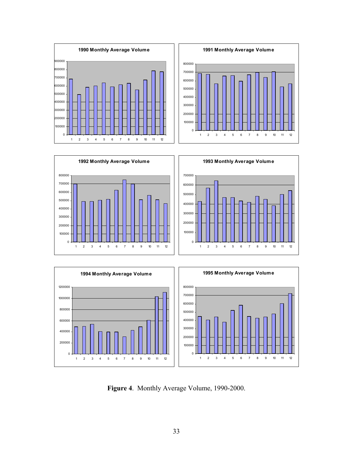





**Figure 4**. Monthly Average Volume, 1990-2000.